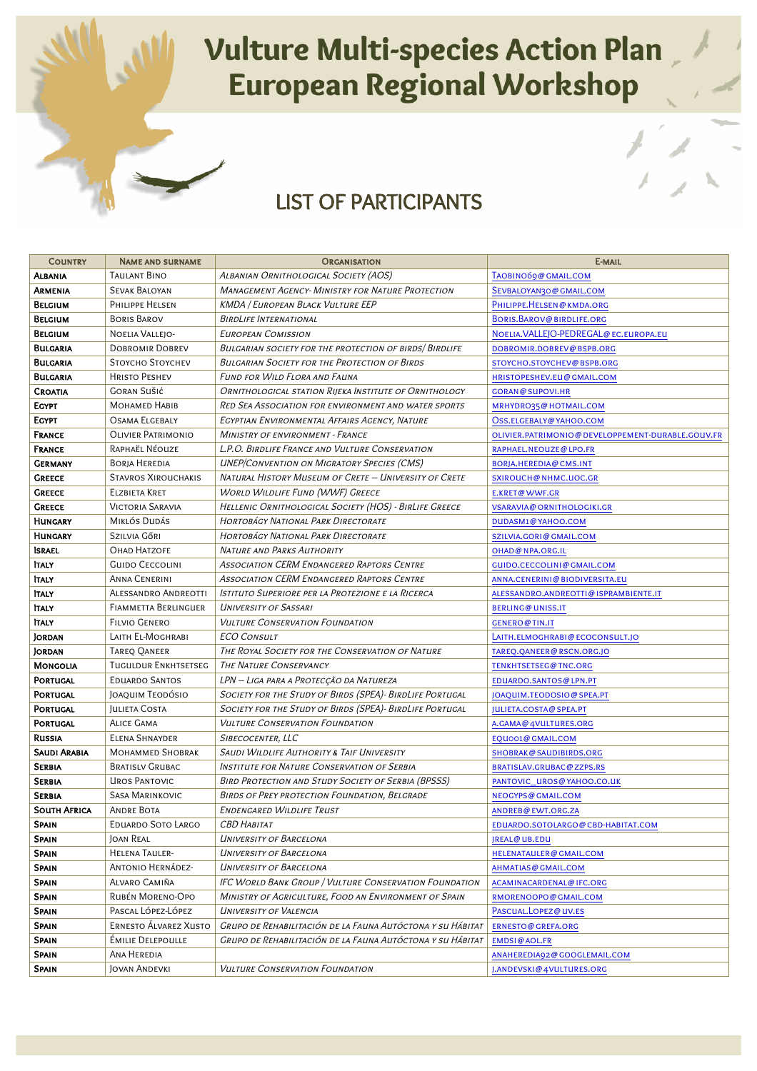## Vulture Multi-species Action Plan<br>European Regional Workshop

## LIST OF PARTICIPANTS

| <b>COUNTRY</b>                       | <b>NAME AND SURNAME</b>                        | <b>ORGANISATION</b>                                                               | E-MAIL                                                   |
|--------------------------------------|------------------------------------------------|-----------------------------------------------------------------------------------|----------------------------------------------------------|
| <b>ALBANIA</b>                       | Taulant Bino                                   | Albanian Ornithological Society (AOS)                                             | TAOBINO69@ GMAIL.COM                                     |
| <b>ARMENIA</b>                       | <b>SEVAK BALOYAN</b>                           | <b>MANAGEMENT AGENCY- MINISTRY FOR NATURE PROTECTION</b>                          | SEVBALOYAN30@GMAIL.COM                                   |
| <b>BELGIUM</b>                       | PHILIPPE HELSEN                                | <b>KMDA / EUROPEAN BLACK VULTURE EEP</b>                                          | PHILIPPE.HELSEN@KMDA.ORG                                 |
| <b>BELGIUM</b>                       | <b>BORIS BAROV</b>                             | <b>BIRDLIFE INTERNATIONAL</b>                                                     | BORIS.BAROV@BIRDLIFE.ORG                                 |
| <b>BELGIUM</b>                       | NOELIA VALLEJO-                                | <b>EUROPEAN COMISSION</b>                                                         | NOELIA. VALLEJO-PEDREGAL@EC.EUROPA.EU                    |
| <b>BULGARIA</b>                      | <b>DOBROMIR DOBREV</b>                         | BULGARIAN SOCIETY FOR THE PROTECTION OF BIRDS BIRDLIFE                            | DOBROMIR.DOBREV@BSPB.ORG                                 |
| BULGARIA                             | STOYCHO STOYCHEV                               | <b>BULGARIAN SOCIETY FOR THE PROTECTION OF BIRDS</b>                              | STOYCHO.STOYCHEV@BSPB.ORG                                |
| <b>BULGARIA</b>                      | <b>HRISTO PESHEV</b>                           | Fund for Wild Flora and Fauna                                                     | HRISTOPESHEV.EU@GMAIL.COM                                |
| <b>CROATIA</b>                       | <b>GORAN SUŠIĆ</b>                             | ORNITHOLOGICAL STATION RIJEKA INSTITUTE OF ORNITHOLOGY                            | <b>GORAN@SUPOVI.HR</b>                                   |
| <b>EGYPT</b>                         | <b>MOHAMED HABIB</b>                           | <b>RED SEA ASSOCIATION FOR ENVIRONMENT AND WATER SPORTS</b>                       | MRHYDRO35@ HOTMAIL.COM                                   |
| <b>EGYPT</b>                         | <b>OSAMA ELGEBALY</b>                          | EGYPTIAN ENVIRONMENTAL AFFAIRS AGENCY, NATURE                                     | OSS.ELGEBALY@YAHOO.COM                                   |
| <b>FRANCE</b>                        | <b>OLIVIER PATRIMONIO</b>                      | <b>MINISTRY OF ENVIRONMENT - FRANCE</b>                                           | OLIVIER.PATRIMONIO@DEVELOPPEMENT-DURABLE.GOUV.FR         |
| <b>FRANCE</b>                        | Raphaël Néouze                                 | L.P.O. BIRDLIFE FRANCE AND VULTURE CONSERVATION                                   | RAPHAEL.NEOUZE@LPO.FR                                    |
| <b>GERMANY</b>                       | BORJA HEREDIA                                  | <b>UNEP/CONVENTION ON MIGRATORY SPECIES (CMS)</b>                                 | <b>BORJA.HEREDIA@CMS.INT</b>                             |
| <b>GREECE</b>                        | <b>STAVROS XIROUCHAKIS</b>                     | NATURAL HISTORY MUSEUM OF CRETE - UNIVERSITY OF CRETE                             | SXIROUCH@NHMC.UOC.GR                                     |
| <b>GREECE</b>                        | <b>ELZBIETA KRET</b>                           | <b>WORLD WILDLIFE FUND (WWF) GREECE</b>                                           | <b>E.KRET@WWF.GR</b>                                     |
| <b>GREECE</b>                        | <b>VICTORIA SARAVIA</b>                        | HELLENIC ORNITHOLOGICAL SOCIETY (HOS) - BIRLIFE GREECE                            | <b>VSARAVIA@ORNITHOLOGIKI.GR</b>                         |
| <b>HUNGARY</b>                       | MIKLÓS DUDÁS                                   | HORTOBÁGY NATIONAL PARK DIRECTORATE                                               | DUDASM1@YAHOO.COM                                        |
| <b>HUNGARY</b>                       | SZILVIA GŐRI                                   | HORTOBÁGY NATIONAL PARK DIRECTORATE                                               | SZILVIA.GORI@GMAIL.COM                                   |
| <b>ISRAEL</b>                        | OHAD HATZOFE                                   | <b>NATURE AND PARKS AUTHORITY</b>                                                 | <b>OHAD@NPA.ORG.IL</b>                                   |
| <b>ITALY</b>                         | <b>GUIDO CECCOLINI</b>                         | <b>ASSOCIATION CERM ENDANGERED RAPTORS CENTRE</b>                                 | GUIDO.CECCOLINI@GMAIL.COM                                |
| <b>TALY</b>                          | Anna Cenerini                                  | <b>ASSOCIATION CERM ENDANGERED RAPTORS CENTRE</b>                                 | ANNA.CENERINI@BIODIVERSITA.EU                            |
| <b>TALY</b>                          | ALESSANDRO ANDREOTTI                           | <b>ISTITUTO SUPERIORE PER LA PROTEZIONE E LA RICERCA</b>                          | ALESSANDRO.ANDREOTTI@ISPRAMBIENTE.IT                     |
| <b>ITALY</b>                         | <b>FIAMMETTA BERLINGUER</b>                    | <b>UNIVERSITY OF SASSARI</b>                                                      | <b>BERLING@UNISS.IT</b>                                  |
| <b>ITALY</b>                         | <b>FILVIO GENERO</b>                           | <b>VULTURE CONSERVATION FOUNDATION</b>                                            | <b>GENERO@TIN.IT</b>                                     |
| <b>JORDAN</b>                        | LAITH EL-MOGHRABI                              | <b>ECO CONSULT</b>                                                                | LAITH.ELMOGHRABI@ECOCONSULT.JO                           |
| <b>JORDAN</b>                        | TAREQ QANEER                                   | THE ROYAL SOCIETY FOR THE CONSERVATION OF NATURE                                  | TAREQ.QANEER@RSCN.ORG.JO                                 |
| <b>MONGOLIA</b>                      | <b>TUGULDUR ENKHTSETSEG</b>                    | <b>THE NATURE CONSERVANCY</b>                                                     | TENKHTSETSEG@TNC.ORG                                     |
| <b>PORTUGAL</b>                      | <b>EDUARDO SANTOS</b>                          | LPN — Liga para a Protecção da Natureza                                           | <b>EDUARDO.SANTOS@LPN.PT</b>                             |
| <b>PORTUGAL</b>                      | JOAQUIM TEODÓSIO                               | SOCIETY FOR THE STUDY OF BIRDS (SPEA)- BIRDLIFE PORTUGAL                          | JOAQUIM.TEODOSIO@SPEA.PT                                 |
| <b>PORTUGAL</b>                      | JULIETA COSTA                                  | SOCIETY FOR THE STUDY OF BIRDS (SPEA)- BIRDLIFE PORTUGAL                          | <b>JULIETA.COSTA@SPEA.PT</b>                             |
| <b>PORTUGAL</b>                      | <b>ALICE GAMA</b>                              | <b>VULTURE CONSERVATION FOUNDATION</b>                                            | A.GAMA@ 4VULTURES.ORG                                    |
| <b>RUSSIA</b>                        | <b>ELENA SHNAYDER</b>                          | SIBECOCENTER, LLC                                                                 | EQUO01@ GMAIL.COM                                        |
| <b>SAUDI ARABIA</b>                  | <b>MOHAMMED SHOBRAK</b>                        | <b>SAUDI WILDLIFE AUTHORITY &amp; TAIF UNIVERSITY</b>                             | <b>SHOBRAK@SAUDIBIRDS.ORG</b>                            |
| <b>SERBIA</b>                        | <b>BRATISLV GRUBAC</b>                         | <b>INSTITUTE FOR NATURE CONSERVATION OF SERBIA</b>                                | <b>BRATISLAV.GRUBAC@ZZPS.RS</b>                          |
| <b>SERBIA</b>                        | <b>UROS PANTOVIC</b><br><b>SASA MARINKOVIC</b> | <b>BIRD PROTECTION AND STUDY SOCIETY OF SERBIA (BPSSS)</b>                        | PANTOVIC_UROS@YAHOO.CO.UK                                |
| <b>SERBIA</b><br><b>SOUTH AFRICA</b> | <b>ANDRE BOTA</b>                              | Birds of Prey protection Foundation, Belgrade<br><b>ENDENGARED WILDLIFE TRUST</b> | NEOGYPS@GMAIL.COM                                        |
| <b>SPAIN</b>                         | EDUARDO SOTO LARGO                             | <b>CBD HABITAT</b>                                                                | ANDREB@EWT.ORG.ZA                                        |
| <b>SPAIN</b>                         | Joan Real                                      | UNIVERSITY OF BARCELONA                                                           | EDUARDO.SOTOLARGO@CBD-HABITAT.COM<br><b>JREAL@UB.EDU</b> |
| <b>SPAIN</b>                         | <b>HELENA TAULER-</b>                          | <b>UNIVERSITY OF BARCELONA</b>                                                    | HELENATAULER@GMAIL.COM                                   |
| <b>SPAIN</b>                         | ANTONIO HERNÁDEZ-                              | <b>UNIVERSITY OF BARCELONA</b>                                                    | <b>AHMATIAS@GMAIL.COM</b>                                |
| <b>SPAIN</b>                         | ALVARO CAMIÑA                                  | IFC WORLD BANK GROUP / VULTURE CONSERVATION FOUNDATION                            | ACAMINACARDENAL@IFC.ORG                                  |
| <b>SPAIN</b>                         | RUBÉN MORENO-OPO                               | MINISTRY OF AGRICULTURE, FOOD AN ENVIRONMENT OF SPAIN                             | RMORENOOPO@GMAIL.COM                                     |
| <b>SPAIN</b>                         | Pascal López-López                             | <b>UNIVERSITY OF VALENCIA</b>                                                     | PASCUAL.LOPEZ@UV.ES                                      |
| <b>SPAIN</b>                         | <b>ERNESTO ÁLVAREZ XUSTO</b>                   | GRUPO DE REHABILITACIÓN DE LA FAUNA AUTÓCTONA Y SU HÁBITAT                        | <b>ERNESTO@GREFA.ORG</b>                                 |
| <b>SPAIN</b>                         | <b>EMILIE DELEPOULLE</b>                       | Grupo de Rehabilitación de la Fauna Autóctona y su Hábitat                        | <b>EMDSI@AOL.FR</b>                                      |
| <b>SPAIN</b>                         | ANA HEREDIA                                    |                                                                                   | ANAHEREDIA92@ GOOGLEMAIL.COM                             |
| <b>SPAIN</b>                         | JOVAN ANDEVKI                                  | <b>VULTURE CONSERVATION FOUNDATION</b>                                            | J.ANDEVSKI@4VULTURES.ORG                                 |
|                                      |                                                |                                                                                   |                                                          |